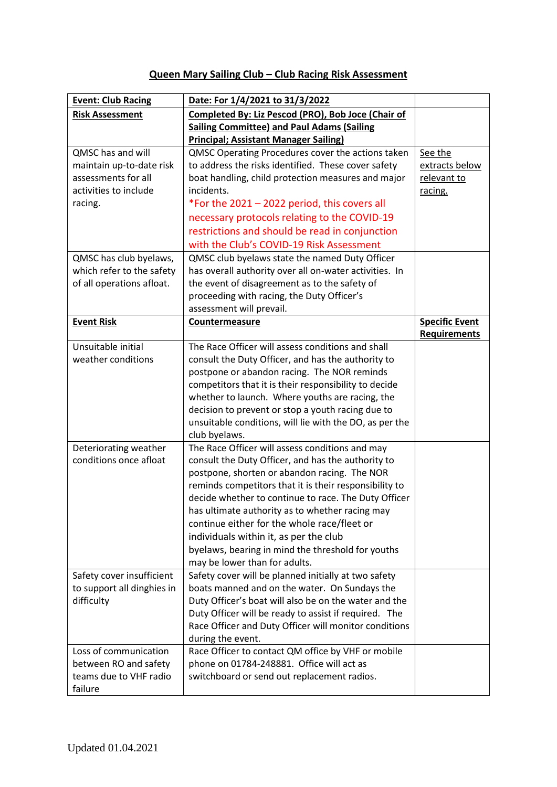# **Queen Mary Sailing Club – Club Racing Risk Assessment**

| <b>Event: Club Racing</b>  | Date: For 1/4/2021 to 31/3/2022                         |                       |
|----------------------------|---------------------------------------------------------|-----------------------|
| <b>Risk Assessment</b>     | Completed By: Liz Pescod (PRO), Bob Joce (Chair of      |                       |
|                            | <b>Sailing Committee) and Paul Adams (Sailing</b>       |                       |
|                            | <b>Principal; Assistant Manager Sailing)</b>            |                       |
| QMSC has and will          | QMSC Operating Procedures cover the actions taken       | See the               |
| maintain up-to-date risk   | to address the risks identified. These cover safety     | extracts below        |
| assessments for all        | boat handling, child protection measures and major      | relevant to           |
| activities to include      | incidents.                                              | racing.               |
| racing.                    | *For the 2021 - 2022 period, this covers all            |                       |
|                            | necessary protocols relating to the COVID-19            |                       |
|                            | restrictions and should be read in conjunction          |                       |
|                            | with the Club's COVID-19 Risk Assessment                |                       |
| QMSC has club byelaws,     | QMSC club byelaws state the named Duty Officer          |                       |
| which refer to the safety  | has overall authority over all on-water activities. In  |                       |
| of all operations afloat.  | the event of disagreement as to the safety of           |                       |
|                            | proceeding with racing, the Duty Officer's              |                       |
|                            | assessment will prevail.                                |                       |
| <b>Event Risk</b>          | Countermeasure                                          | <b>Specific Event</b> |
|                            |                                                         | <b>Requirements</b>   |
| Unsuitable initial         | The Race Officer will assess conditions and shall       |                       |
| weather conditions         | consult the Duty Officer, and has the authority to      |                       |
|                            | postpone or abandon racing. The NOR reminds             |                       |
|                            | competitors that it is their responsibility to decide   |                       |
|                            | whether to launch. Where youths are racing, the         |                       |
|                            | decision to prevent or stop a youth racing due to       |                       |
|                            | unsuitable conditions, will lie with the DO, as per the |                       |
|                            | club byelaws.                                           |                       |
| Deteriorating weather      | The Race Officer will assess conditions and may         |                       |
| conditions once afloat     | consult the Duty Officer, and has the authority to      |                       |
|                            | postpone, shorten or abandon racing. The NOR            |                       |
|                            | reminds competitors that it is their responsibility to  |                       |
|                            | decide whether to continue to race. The Duty Officer    |                       |
|                            | has ultimate authority as to whether racing may         |                       |
|                            | continue either for the whole race/fleet or             |                       |
|                            | individuals within it, as per the club                  |                       |
|                            | byelaws, bearing in mind the threshold for youths       |                       |
|                            | may be lower than for adults.                           |                       |
| Safety cover insufficient  | Safety cover will be planned initially at two safety    |                       |
| to support all dinghies in | boats manned and on the water. On Sundays the           |                       |
| difficulty                 | Duty Officer's boat will also be on the water and the   |                       |
|                            | Duty Officer will be ready to assist if required. The   |                       |
|                            | Race Officer and Duty Officer will monitor conditions   |                       |
|                            | during the event.                                       |                       |
| Loss of communication      | Race Officer to contact QM office by VHF or mobile      |                       |
| between RO and safety      | phone on 01784-248881. Office will act as               |                       |
| teams due to VHF radio     | switchboard or send out replacement radios.             |                       |
| failure                    |                                                         |                       |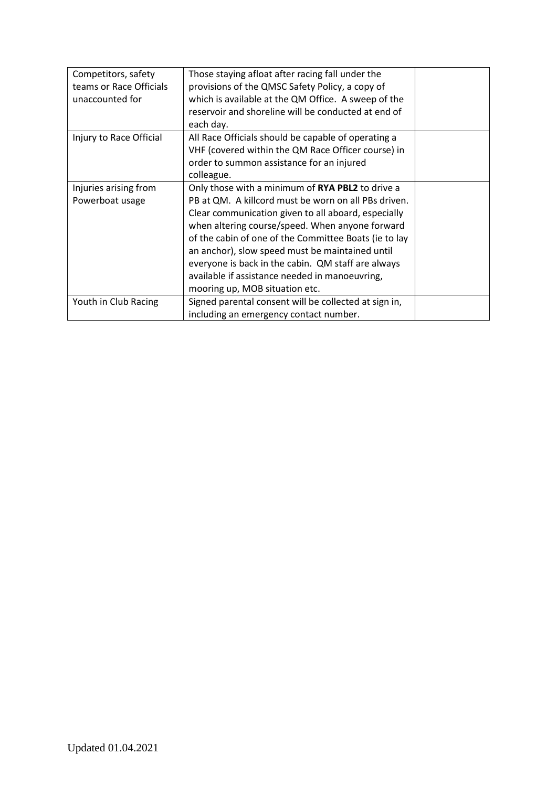| Competitors, safety     | Those staying afloat after racing fall under the      |  |
|-------------------------|-------------------------------------------------------|--|
| teams or Race Officials | provisions of the QMSC Safety Policy, a copy of       |  |
| unaccounted for         | which is available at the QM Office. A sweep of the   |  |
|                         | reservoir and shoreline will be conducted at end of   |  |
|                         | each day.                                             |  |
| Injury to Race Official | All Race Officials should be capable of operating a   |  |
|                         | VHF (covered within the QM Race Officer course) in    |  |
|                         | order to summon assistance for an injured             |  |
|                         | colleague.                                            |  |
| Injuries arising from   | Only those with a minimum of RYA PBL2 to drive a      |  |
| Powerboat usage         | PB at QM. A killcord must be worn on all PBs driven.  |  |
|                         | Clear communication given to all aboard, especially   |  |
|                         | when altering course/speed. When anyone forward       |  |
|                         | of the cabin of one of the Committee Boats (ie to lay |  |
|                         | an anchor), slow speed must be maintained until       |  |
|                         | everyone is back in the cabin. QM staff are always    |  |
|                         | available if assistance needed in manoeuvring,        |  |
|                         | mooring up, MOB situation etc.                        |  |
| Youth in Club Racing    | Signed parental consent will be collected at sign in, |  |
|                         | including an emergency contact number.                |  |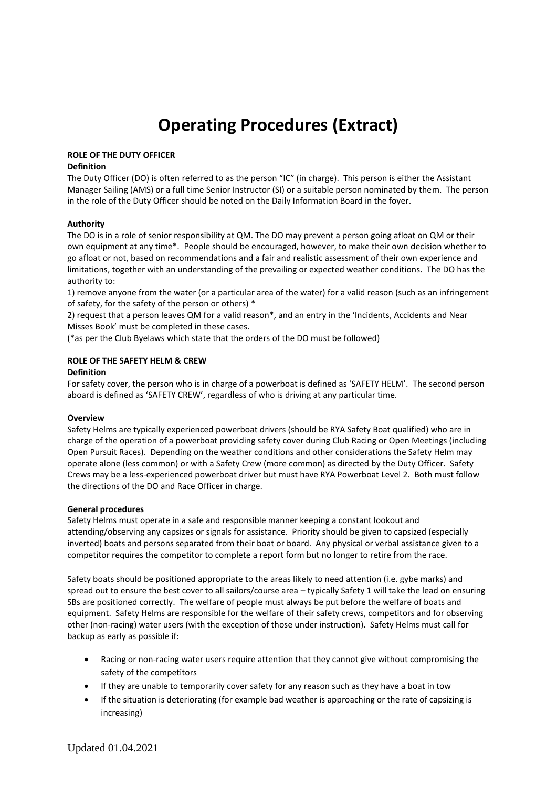# **Operating Procedures (Extract)**

# **ROLE OF THE DUTY OFFICER**

### **Definition**

The Duty Officer (DO) is often referred to as the person "IC" (in charge). This person is either the Assistant Manager Sailing (AMS) or a full time Senior Instructor (SI) or a suitable person nominated by them. The person in the role of the Duty Officer should be noted on the Daily Information Board in the foyer.

# **Authority**

The DO is in a role of senior responsibility at QM. The DO may prevent a person going afloat on QM or their own equipment at any time\*. People should be encouraged, however, to make their own decision whether to go afloat or not, based on recommendations and a fair and realistic assessment of their own experience and limitations, together with an understanding of the prevailing or expected weather conditions. The DO has the authority to:

1) remove anyone from the water (or a particular area of the water) for a valid reason (such as an infringement of safety, for the safety of the person or others) \*

2) request that a person leaves QM for a valid reason\*, and an entry in the 'Incidents, Accidents and Near Misses Book' must be completed in these cases.

(\*as per the Club Byelaws which state that the orders of the DO must be followed)

#### **ROLE OF THE SAFETY HELM & CREW**

#### **Definition**

For safety cover, the person who is in charge of a powerboat is defined as 'SAFETY HELM'. The second person aboard is defined as 'SAFETY CREW', regardless of who is driving at any particular time.

#### **Overview**

Safety Helms are typically experienced powerboat drivers (should be RYA Safety Boat qualified) who are in charge of the operation of a powerboat providing safety cover during Club Racing or Open Meetings (including Open Pursuit Races). Depending on the weather conditions and other considerations the Safety Helm may operate alone (less common) or with a Safety Crew (more common) as directed by the Duty Officer. Safety Crews may be a less-experienced powerboat driver but must have RYA Powerboat Level 2. Both must follow the directions of the DO and Race Officer in charge.

#### **General procedures**

Safety Helms must operate in a safe and responsible manner keeping a constant lookout and attending/observing any capsizes or signals for assistance. Priority should be given to capsized (especially inverted) boats and persons separated from their boat or board. Any physical or verbal assistance given to a competitor requires the competitor to complete a report form but no longer to retire from the race.

Safety boats should be positioned appropriate to the areas likely to need attention (i.e. gybe marks) and spread out to ensure the best cover to all sailors/course area – typically Safety 1 will take the lead on ensuring SBs are positioned correctly. The welfare of people must always be put before the welfare of boats and equipment. Safety Helms are responsible for the welfare of their safety crews, competitors and for observing other (non-racing) water users (with the exception of those under instruction). Safety Helms must call for backup as early as possible if:

- Racing or non-racing water users require attention that they cannot give without compromising the safety of the competitors
- If they are unable to temporarily cover safety for any reason such as they have a boat in tow
- If the situation is deteriorating (for example bad weather is approaching or the rate of capsizing is increasing)